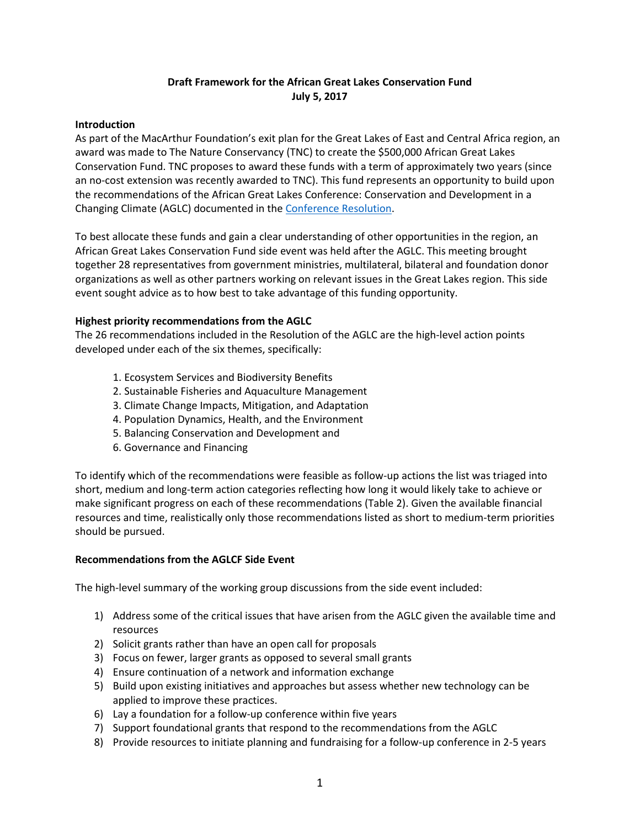# **Draft Framework for the African Great Lakes Conservation Fund July 5, 2017**

## **Introduction**

As part of the MacArthur Foundation's exit plan for the Great Lakes of East and Central Africa region, an award was made to The Nature Conservancy (TNC) to create the \$500,000 African Great Lakes Conservation Fund. TNC proposes to award these funds with a term of approximately two years (since an no-cost extension was recently awarded to TNC). This fund represents an opportunity to build upon the recommendations of the African Great Lakes Conference: Conservation and Development in a Changing Climate (AGLC) documented in the [Conference Resolution.](https://www.greatlakesofafrica.org/wp-content/uploads/2017/05/RESOLUTION-OF-AGL-CONFERENCE-FINAL-1.pdf)

To best allocate these funds and gain a clear understanding of other opportunities in the region, an African Great Lakes Conservation Fund side event was held after the AGLC. This meeting brought together 28 representatives from government ministries, multilateral, bilateral and foundation donor organizations as well as other partners working on relevant issues in the Great Lakes region. This side event sought advice as to how best to take advantage of this funding opportunity.

## **Highest priority recommendations from the AGLC**

The 26 recommendations included in the Resolution of the AGLC are the high-level action points developed under each of the six themes, specifically:

- 1. Ecosystem Services and Biodiversity Benefits
- 2. Sustainable Fisheries and Aquaculture Management
- 3. Climate Change Impacts, Mitigation, and Adaptation
- 4. Population Dynamics, Health, and the Environment
- 5. Balancing Conservation and Development and
- 6. Governance and Financing

To identify which of the recommendations were feasible as follow-up actions the list was triaged into short, medium and long-term action categories reflecting how long it would likely take to achieve or make significant progress on each of these recommendations (Table 2). Given the available financial resources and time, realistically only those recommendations listed as short to medium-term priorities should be pursued.

### **Recommendations from the AGLCF Side Event**

The high-level summary of the working group discussions from the side event included:

- 1) Address some of the critical issues that have arisen from the AGLC given the available time and resources
- 2) Solicit grants rather than have an open call for proposals
- 3) Focus on fewer, larger grants as opposed to several small grants
- 4) Ensure continuation of a network and information exchange
- 5) Build upon existing initiatives and approaches but assess whether new technology can be applied to improve these practices.
- 6) Lay a foundation for a follow-up conference within five years
- 7) Support foundational grants that respond to the recommendations from the AGLC
- 8) Provide resources to initiate planning and fundraising for a follow-up conference in 2-5 years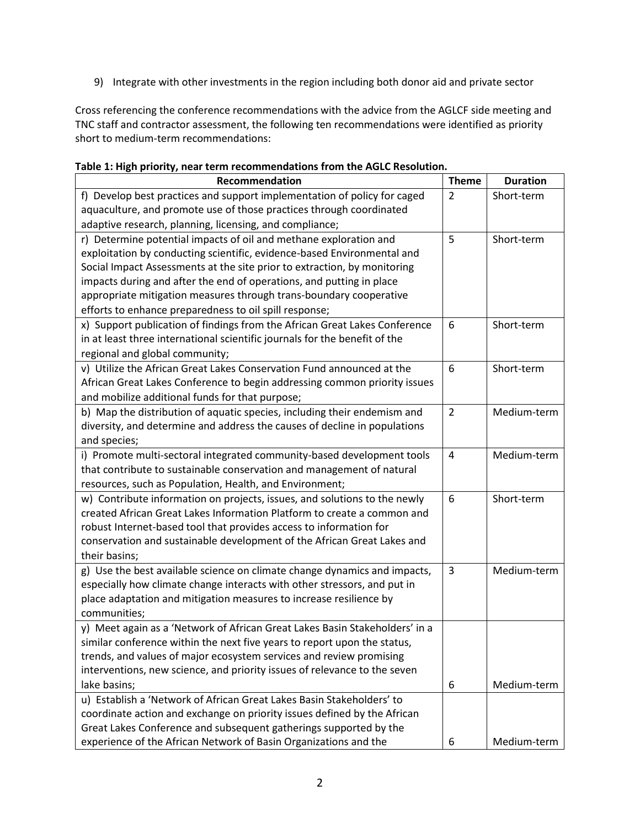9) Integrate with other investments in the region including both donor aid and private sector

Cross referencing the conference recommendations with the advice from the AGLCF side meeting and TNC staff and contractor assessment, the following ten recommendations were identified as priority short to medium-term recommendations:

| Recommendation                                                              | <b>Theme</b>   | <b>Duration</b> |
|-----------------------------------------------------------------------------|----------------|-----------------|
| f) Develop best practices and support implementation of policy for caged    | $\overline{2}$ | Short-term      |
| aquaculture, and promote use of those practices through coordinated         |                |                 |
| adaptive research, planning, licensing, and compliance;                     |                |                 |
| r) Determine potential impacts of oil and methane exploration and           | 5              | Short-term      |
| exploitation by conducting scientific, evidence-based Environmental and     |                |                 |
| Social Impact Assessments at the site prior to extraction, by monitoring    |                |                 |
| impacts during and after the end of operations, and putting in place        |                |                 |
| appropriate mitigation measures through trans-boundary cooperative          |                |                 |
| efforts to enhance preparedness to oil spill response;                      |                |                 |
| x) Support publication of findings from the African Great Lakes Conference  | 6              | Short-term      |
| in at least three international scientific journals for the benefit of the  |                |                 |
| regional and global community;                                              |                |                 |
| v) Utilize the African Great Lakes Conservation Fund announced at the       | 6              | Short-term      |
| African Great Lakes Conference to begin addressing common priority issues   |                |                 |
| and mobilize additional funds for that purpose;                             |                |                 |
| b) Map the distribution of aquatic species, including their endemism and    | $\overline{2}$ | Medium-term     |
| diversity, and determine and address the causes of decline in populations   |                |                 |
| and species;                                                                |                |                 |
| i) Promote multi-sectoral integrated community-based development tools      | 4              | Medium-term     |
| that contribute to sustainable conservation and management of natural       |                |                 |
| resources, such as Population, Health, and Environment;                     |                |                 |
| w) Contribute information on projects, issues, and solutions to the newly   | 6              | Short-term      |
| created African Great Lakes Information Platform to create a common and     |                |                 |
| robust Internet-based tool that provides access to information for          |                |                 |
| conservation and sustainable development of the African Great Lakes and     |                |                 |
| their basins;                                                               |                |                 |
| g) Use the best available science on climate change dynamics and impacts,   | 3              | Medium-term     |
| especially how climate change interacts with other stressors, and put in    |                |                 |
| place adaptation and mitigation measures to increase resilience by          |                |                 |
| communities;                                                                |                |                 |
| y) Meet again as a 'Network of African Great Lakes Basin Stakeholders' in a |                |                 |
| similar conference within the next five years to report upon the status,    |                |                 |
| trends, and values of major ecosystem services and review promising         |                |                 |
| interventions, new science, and priority issues of relevance to the seven   |                |                 |
| lake basins;                                                                | 6              | Medium-term     |
| u) Establish a 'Network of African Great Lakes Basin Stakeholders' to       |                |                 |
| coordinate action and exchange on priority issues defined by the African    |                |                 |
| Great Lakes Conference and subsequent gatherings supported by the           |                |                 |
| experience of the African Network of Basin Organizations and the            | 6              | Medium-term     |

### **Table 1: High priority, near term recommendations from the AGLC Resolution.**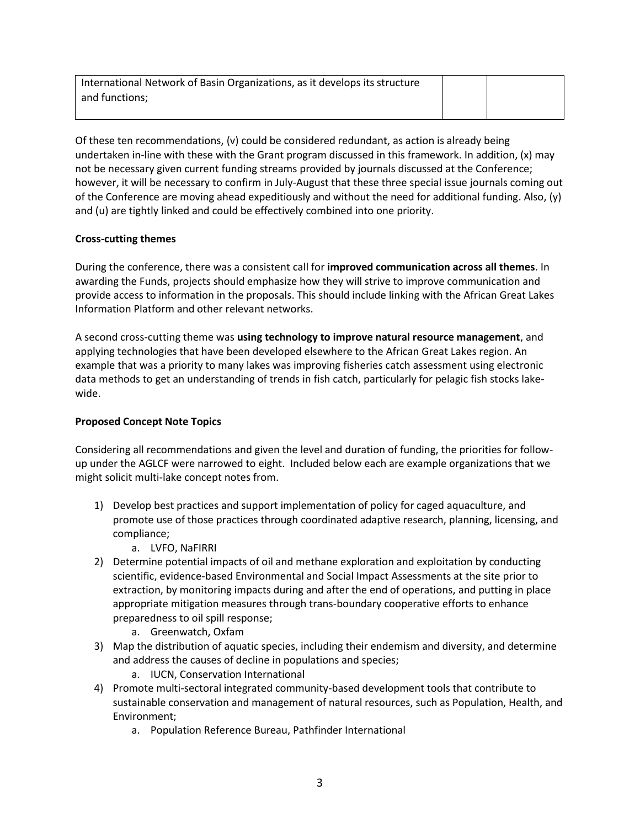| International Network of Basin Organizations, as it develops its structure |  |  |
|----------------------------------------------------------------------------|--|--|
| and functions:                                                             |  |  |
|                                                                            |  |  |

Of these ten recommendations, (v) could be considered redundant, as action is already being undertaken in-line with these with the Grant program discussed in this framework. In addition, (x) may not be necessary given current funding streams provided by journals discussed at the Conference; however, it will be necessary to confirm in July-August that these three special issue journals coming out of the Conference are moving ahead expeditiously and without the need for additional funding. Also, (y) and (u) are tightly linked and could be effectively combined into one priority.

## **Cross-cutting themes**

During the conference, there was a consistent call for **improved communication across all themes**. In awarding the Funds, projects should emphasize how they will strive to improve communication and provide access to information in the proposals. This should include linking with the African Great Lakes Information Platform and other relevant networks.

A second cross-cutting theme was **using technology to improve natural resource management**, and applying technologies that have been developed elsewhere to the African Great Lakes region. An example that was a priority to many lakes was improving fisheries catch assessment using electronic data methods to get an understanding of trends in fish catch, particularly for pelagic fish stocks lakewide.

## **Proposed Concept Note Topics**

Considering all recommendations and given the level and duration of funding, the priorities for followup under the AGLCF were narrowed to eight. Included below each are example organizations that we might solicit multi-lake concept notes from.

- 1) Develop best practices and support implementation of policy for caged aquaculture, and promote use of those practices through coordinated adaptive research, planning, licensing, and compliance;
	- a. LVFO, NaFIRRI
- 2) Determine potential impacts of oil and methane exploration and exploitation by conducting scientific, evidence-based Environmental and Social Impact Assessments at the site prior to extraction, by monitoring impacts during and after the end of operations, and putting in place appropriate mitigation measures through trans-boundary cooperative efforts to enhance preparedness to oil spill response;
	- a. Greenwatch, Oxfam
- 3) Map the distribution of aquatic species, including their endemism and diversity, and determine and address the causes of decline in populations and species;
	- a. IUCN, Conservation International
- 4) Promote multi-sectoral integrated community-based development tools that contribute to sustainable conservation and management of natural resources, such as Population, Health, and Environment;
	- a. Population Reference Bureau, Pathfinder International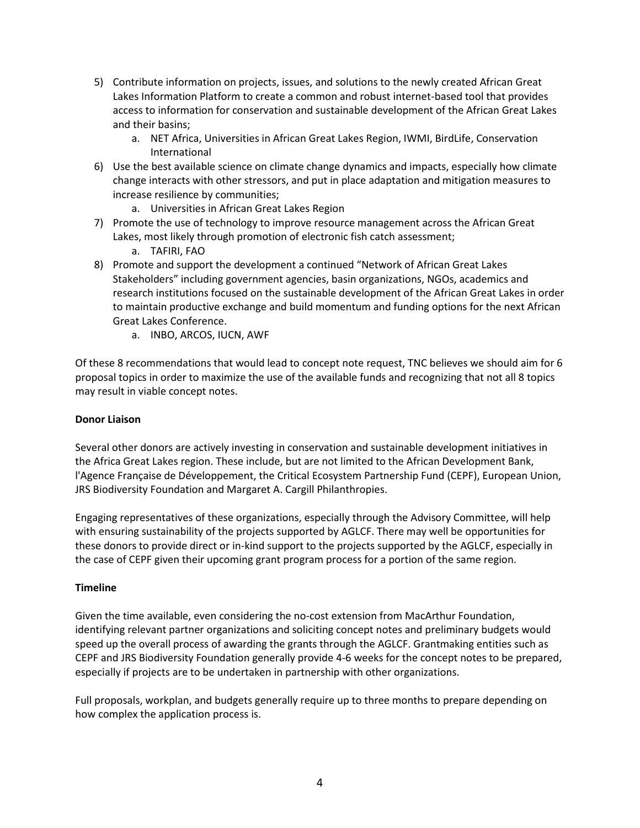- 5) Contribute information on projects, issues, and solutions to the newly created African Great Lakes Information Platform to create a common and robust internet-based tool that provides access to information for conservation and sustainable development of the African Great Lakes and their basins;
	- a. NET Africa, Universities in African Great Lakes Region, IWMI, BirdLife, Conservation International
- 6) Use the best available science on climate change dynamics and impacts, especially how climate change interacts with other stressors, and put in place adaptation and mitigation measures to increase resilience by communities;
	- a. Universities in African Great Lakes Region
- 7) Promote the use of technology to improve resource management across the African Great Lakes, most likely through promotion of electronic fish catch assessment;
	- a. TAFIRI, FAO
- 8) Promote and support the development a continued "Network of African Great Lakes Stakeholders" including government agencies, basin organizations, NGOs, academics and research institutions focused on the sustainable development of the African Great Lakes in order to maintain productive exchange and build momentum and funding options for the next African Great Lakes Conference.
	- a. INBO, ARCOS, IUCN, AWF

Of these 8 recommendations that would lead to concept note request, TNC believes we should aim for 6 proposal topics in order to maximize the use of the available funds and recognizing that not all 8 topics may result in viable concept notes.

## **Donor Liaison**

Several other donors are actively investing in conservation and sustainable development initiatives in the Africa Great Lakes region. These include, but are not limited to the African Development Bank, l'Agence Française de Développement, the Critical Ecosystem Partnership Fund (CEPF), European Union, JRS Biodiversity Foundation and Margaret A. Cargill Philanthropies.

Engaging representatives of these organizations, especially through the Advisory Committee, will help with ensuring sustainability of the projects supported by AGLCF. There may well be opportunities for these donors to provide direct or in-kind support to the projects supported by the AGLCF, especially in the case of CEPF given their upcoming grant program process for a portion of the same region.

## **Timeline**

Given the time available, even considering the no-cost extension from MacArthur Foundation, identifying relevant partner organizations and soliciting concept notes and preliminary budgets would speed up the overall process of awarding the grants through the AGLCF. Grantmaking entities such as CEPF and JRS Biodiversity Foundation generally provide 4-6 weeks for the concept notes to be prepared, especially if projects are to be undertaken in partnership with other organizations.

Full proposals, workplan, and budgets generally require up to three months to prepare depending on how complex the application process is.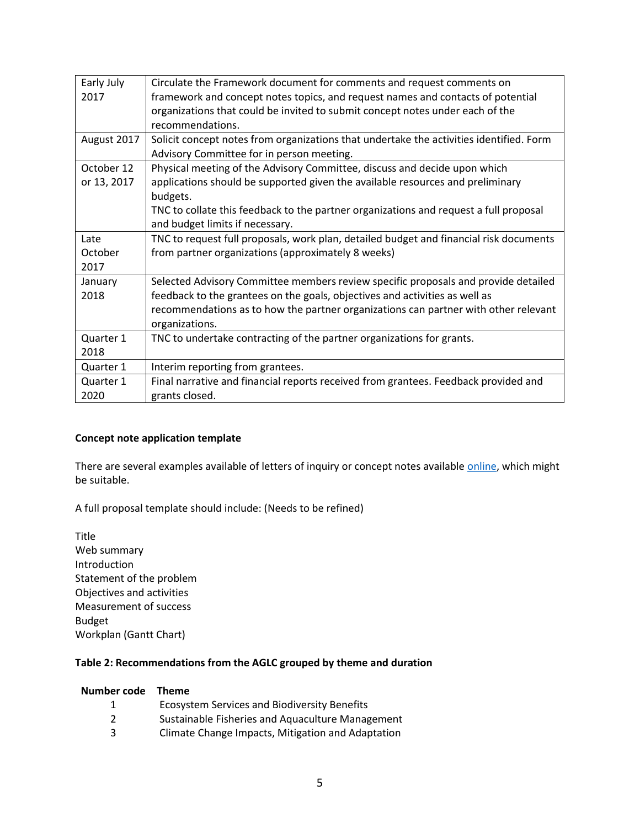| Early July  | Circulate the Framework document for comments and request comments on                   |
|-------------|-----------------------------------------------------------------------------------------|
| 2017        | framework and concept notes topics, and request names and contacts of potential         |
|             | organizations that could be invited to submit concept notes under each of the           |
|             | recommendations.                                                                        |
| August 2017 | Solicit concept notes from organizations that undertake the activities identified. Form |
|             | Advisory Committee for in person meeting.                                               |
| October 12  | Physical meeting of the Advisory Committee, discuss and decide upon which               |
| or 13, 2017 | applications should be supported given the available resources and preliminary          |
|             | budgets.                                                                                |
|             | TNC to collate this feedback to the partner organizations and request a full proposal   |
|             | and budget limits if necessary.                                                         |
| Late        | TNC to request full proposals, work plan, detailed budget and financial risk documents  |
| October     | from partner organizations (approximately 8 weeks)                                      |
| 2017        |                                                                                         |
| January     | Selected Advisory Committee members review specific proposals and provide detailed      |
| 2018        | feedback to the grantees on the goals, objectives and activities as well as             |
|             | recommendations as to how the partner organizations can partner with other relevant     |
|             | organizations.                                                                          |
| Quarter 1   | TNC to undertake contracting of the partner organizations for grants.                   |
| 2018        |                                                                                         |
| Quarter 1   | Interim reporting from grantees.                                                        |
| Quarter 1   | Final narrative and financial reports received from grantees. Feedback provided and     |
| 2020        | grants closed.                                                                          |

# **Concept note application template**

There are several examples available of letters of inquiry or concept notes available [online,](http://grantspace.org/tools/sample-documents) which might be suitable.

A full proposal template should include: (Needs to be refined)

Title Web summary Introduction Statement of the problem Objectives and activities Measurement of success Budget Workplan (Gantt Chart)

## **Table 2: Recommendations from the AGLC grouped by theme and duration**

## **Number code Theme**

|   | <b>Ecosystem Services and Biodiversity Benefits</b> |
|---|-----------------------------------------------------|
| 2 | Sustainable Fisheries and Aquaculture Management    |
| 3 | Climate Change Impacts, Mitigation and Adaptation   |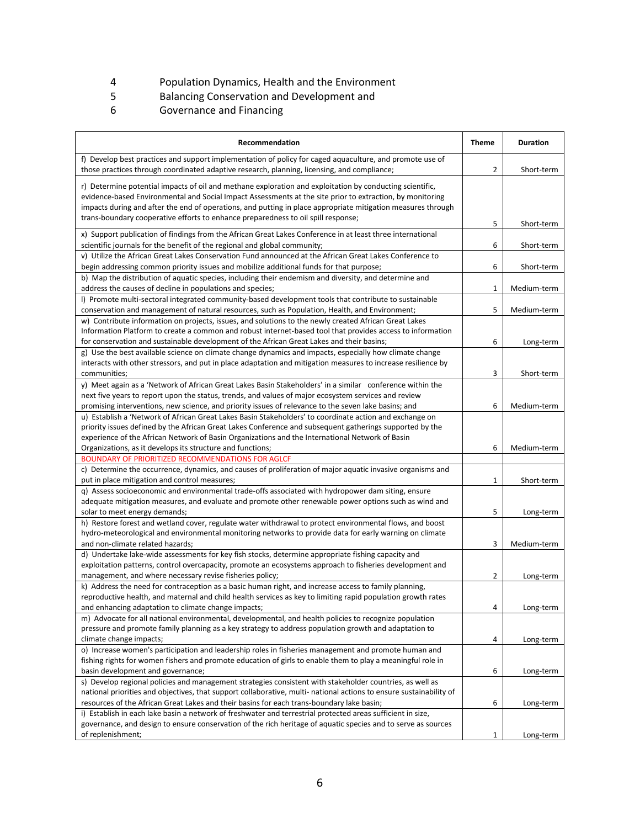- 4 Population Dynamics, Health and the Environment<br>5 Balancing Conservation and Development and
- 5 Balancing Conservation and Development and<br>6 Governance and Financing
- 6 Governance and Financing

| Recommendation                                                                                                                                                                                                        | <b>Theme</b> | <b>Duration</b> |
|-----------------------------------------------------------------------------------------------------------------------------------------------------------------------------------------------------------------------|--------------|-----------------|
| f) Develop best practices and support implementation of policy for caged aquaculture, and promote use of                                                                                                              |              |                 |
| those practices through coordinated adaptive research, planning, licensing, and compliance;                                                                                                                           | 2            | Short-term      |
| r) Determine potential impacts of oil and methane exploration and exploitation by conducting scientific,                                                                                                              |              |                 |
| evidence-based Environmental and Social Impact Assessments at the site prior to extraction, by monitoring                                                                                                             |              |                 |
| impacts during and after the end of operations, and putting in place appropriate mitigation measures through                                                                                                          |              |                 |
| trans-boundary cooperative efforts to enhance preparedness to oil spill response;                                                                                                                                     | 5            | Short-term      |
| x) Support publication of findings from the African Great Lakes Conference in at least three international                                                                                                            |              |                 |
| scientific journals for the benefit of the regional and global community;                                                                                                                                             | 6            | Short-term      |
| v) Utilize the African Great Lakes Conservation Fund announced at the African Great Lakes Conference to                                                                                                               |              |                 |
| begin addressing common priority issues and mobilize additional funds for that purpose;                                                                                                                               | 6            | Short-term      |
| b) Map the distribution of aquatic species, including their endemism and diversity, and determine and                                                                                                                 |              |                 |
| address the causes of decline in populations and species;                                                                                                                                                             | 1            | Medium-term     |
| I) Promote multi-sectoral integrated community-based development tools that contribute to sustainable                                                                                                                 |              |                 |
| conservation and management of natural resources, such as Population, Health, and Environment;                                                                                                                        | 5            | Medium-term     |
| w) Contribute information on projects, issues, and solutions to the newly created African Great Lakes                                                                                                                 |              |                 |
| Information Platform to create a common and robust internet-based tool that provides access to information                                                                                                            |              |                 |
| for conservation and sustainable development of the African Great Lakes and their basins;                                                                                                                             | 6            | Long-term       |
| g) Use the best available science on climate change dynamics and impacts, especially how climate change                                                                                                               |              |                 |
| interacts with other stressors, and put in place adaptation and mitigation measures to increase resilience by                                                                                                         |              |                 |
| communities:                                                                                                                                                                                                          | 3            | Short-term      |
| y) Meet again as a 'Network of African Great Lakes Basin Stakeholders' in a similar conference within the                                                                                                             |              |                 |
| next five years to report upon the status, trends, and values of major ecosystem services and review                                                                                                                  |              |                 |
| promising interventions, new science, and priority issues of relevance to the seven lake basins; and                                                                                                                  | 6            | Medium-term     |
| u) Establish a 'Network of African Great Lakes Basin Stakeholders' to coordinate action and exchange on                                                                                                               |              |                 |
| priority issues defined by the African Great Lakes Conference and subsequent gatherings supported by the                                                                                                              |              |                 |
| experience of the African Network of Basin Organizations and the International Network of Basin                                                                                                                       |              |                 |
| Organizations, as it develops its structure and functions;                                                                                                                                                            | 6            | Medium-term     |
| <b>BOUNDARY OF PRIORITIZED RECOMMENDATIONS FOR AGLCF</b>                                                                                                                                                              |              |                 |
| c) Determine the occurrence, dynamics, and causes of proliferation of major aquatic invasive organisms and                                                                                                            |              |                 |
| put in place mitigation and control measures;                                                                                                                                                                         | 1            | Short-term      |
| q) Assess socioeconomic and environmental trade-offs associated with hydropower dam siting, ensure                                                                                                                    |              |                 |
| adequate mitigation measures, and evaluate and promote other renewable power options such as wind and                                                                                                                 |              |                 |
| solar to meet energy demands;                                                                                                                                                                                         | 5            | Long-term       |
| h) Restore forest and wetland cover, regulate water withdrawal to protect environmental flows, and boost                                                                                                              |              |                 |
| hydro-meteorological and environmental monitoring networks to provide data for early warning on climate                                                                                                               |              |                 |
| and non-climate related hazards;                                                                                                                                                                                      | 3            | Medium-term     |
| d) Undertake lake-wide assessments for key fish stocks, determine appropriate fishing capacity and                                                                                                                    |              |                 |
| exploitation patterns, control overcapacity, promote an ecosystems approach to fisheries development and                                                                                                              |              |                 |
| management, and where necessary revise fisheries policy;                                                                                                                                                              | 2            | Long-term       |
| k) Address the need for contraception as a basic human right, and increase access to family planning,<br>reproductive health, and maternal and child health services as key to limiting rapid population growth rates |              |                 |
| and enhancing adaptation to climate change impacts;                                                                                                                                                                   | 4            |                 |
| m) Advocate for all national environmental, developmental, and health policies to recognize population                                                                                                                |              | Long-term       |
| pressure and promote family planning as a key strategy to address population growth and adaptation to                                                                                                                 |              |                 |
| climate change impacts;                                                                                                                                                                                               | 4            | Long-term       |
| o) Increase women's participation and leadership roles in fisheries management and promote human and                                                                                                                  |              |                 |
| fishing rights for women fishers and promote education of girls to enable them to play a meaningful role in                                                                                                           |              |                 |
| basin development and governance;                                                                                                                                                                                     | 6            | Long-term       |
| s) Develop regional policies and management strategies consistent with stakeholder countries, as well as                                                                                                              |              |                 |
| national priorities and objectives, that support collaborative, multi- national actions to ensure sustainability of                                                                                                   |              |                 |
| resources of the African Great Lakes and their basins for each trans-boundary lake basin;                                                                                                                             | 6            | Long-term       |
| i) Establish in each lake basin a network of freshwater and terrestrial protected areas sufficient in size,                                                                                                           |              |                 |
| governance, and design to ensure conservation of the rich heritage of aquatic species and to serve as sources                                                                                                         |              |                 |
| of replenishment;                                                                                                                                                                                                     | 1            | Long-term       |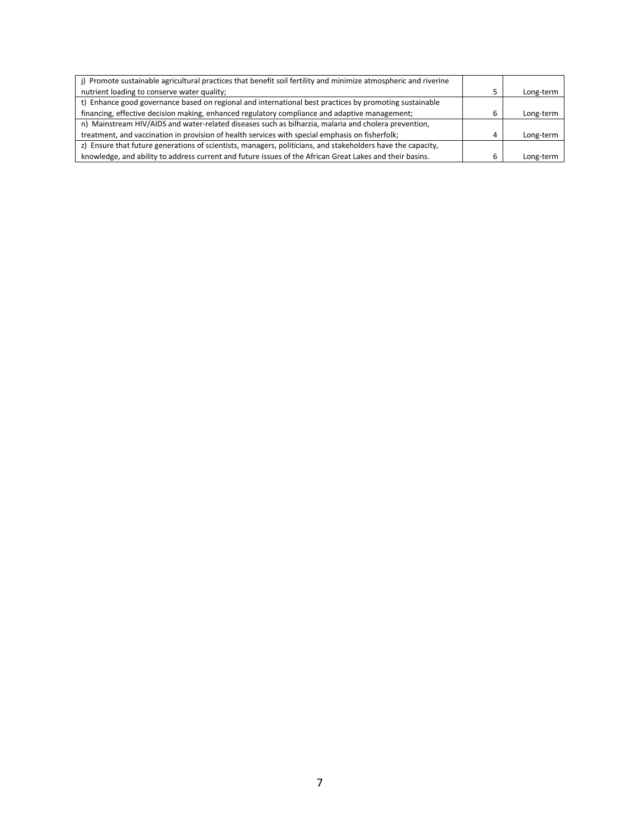| j) Promote sustainable agricultural practices that benefit soil fertility and minimize atmospheric and riverine |   |           |
|-----------------------------------------------------------------------------------------------------------------|---|-----------|
| nutrient loading to conserve water quality;                                                                     |   | Long-term |
| t) Enhance good governance based on regional and international best practices by promoting sustainable          |   |           |
| financing, effective decision making, enhanced regulatory compliance and adaptive management;                   | b | Long-term |
| n) Mainstream HIV/AIDS and water-related diseases such as bilharzia, malaria and cholera prevention,            |   |           |
| treatment, and vaccination in provision of health services with special emphasis on fisherfolk;                 | 4 | Long-term |
| z) Ensure that future generations of scientists, managers, politicians, and stakeholders have the capacity,     |   |           |
| knowledge, and ability to address current and future issues of the African Great Lakes and their basins.        | b | Long-term |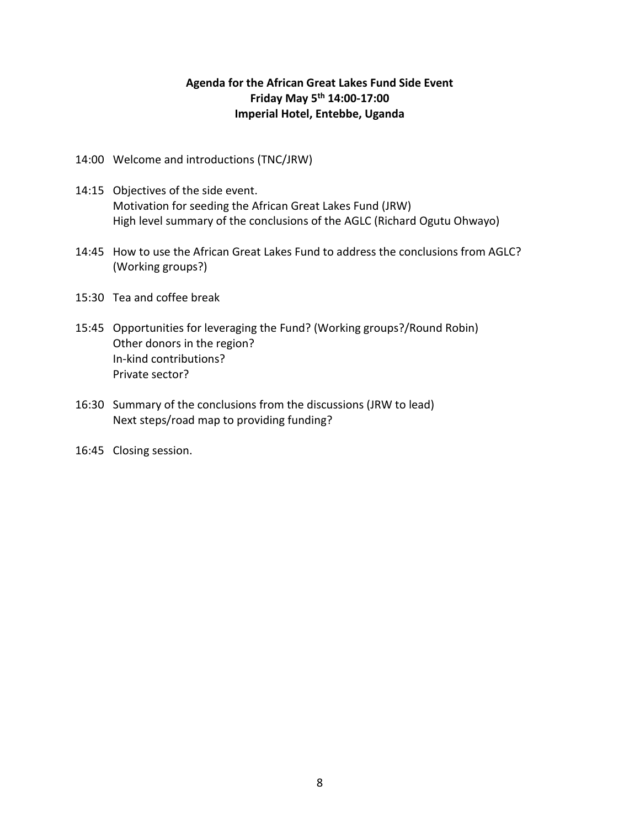# **Agenda for the African Great Lakes Fund Side Event Friday May 5th 14:00-17:00 Imperial Hotel, Entebbe, Uganda**

- 14:00 Welcome and introductions (TNC/JRW)
- 14:15 Objectives of the side event. Motivation for seeding the African Great Lakes Fund (JRW) High level summary of the conclusions of the AGLC (Richard Ogutu Ohwayo)
- 14:45 How to use the African Great Lakes Fund to address the conclusions from AGLC? (Working groups?)
- 15:30 Tea and coffee break
- 15:45 Opportunities for leveraging the Fund? (Working groups?/Round Robin) Other donors in the region? In-kind contributions? Private sector?
- 16:30 Summary of the conclusions from the discussions (JRW to lead) Next steps/road map to providing funding?
- 16:45 Closing session.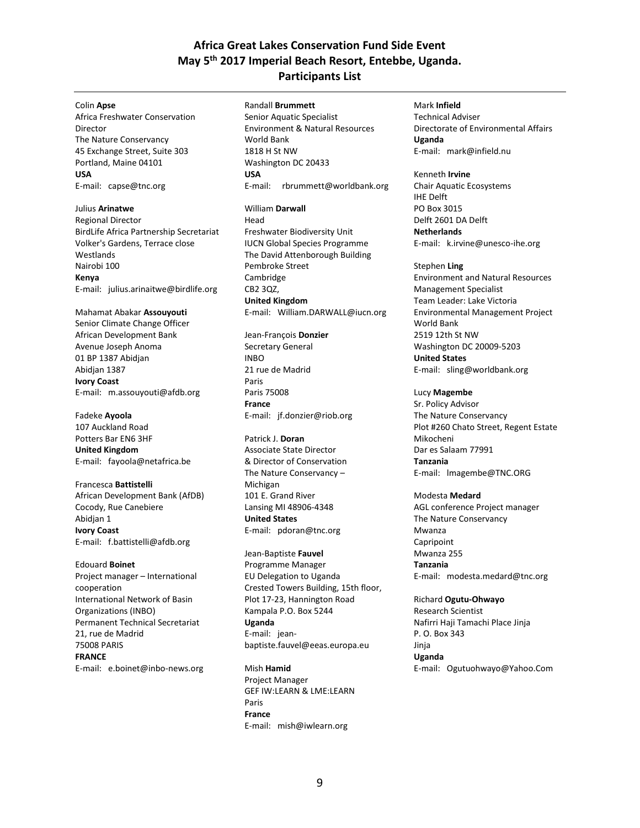# **Africa Great Lakes Conservation Fund Side Event May 5th 2017 Imperial Beach Resort, Entebbe, Uganda. Participants List**

#### Colin **Apse**

Africa Freshwater Conservation Director The Nature Conservancy 45 Exchange Street, Suite 303 Portland, Maine 04101 **USA** E-mail: capse@tnc.org

Julius **Arinatwe** Regional Director BirdLife Africa Partnership Secretariat Volker's Gardens, Terrace close Westlands Nairobi 100 **Kenya** E-mail: julius.arinaitwe@birdlife.org

Mahamat Abakar **Assouyouti** Senior Climate Change Officer African Development Bank Avenue Joseph Anoma 01 BP 1387 Abidjan Abidjan 1387 **Ivory Coast** E-mail: m.assouyouti@afdb.org

Fadeke **Ayoola** 107 Auckland Road Potters Bar EN6 3HF **United Kingdom** E-mail: fayoola@netafrica.be

Francesca **Battistelli** African Development Bank (AfDB) Cocody, Rue Canebiere Abidjan 1 **Ivory Coast** E-mail: f.battistelli@afdb.org

Edouard **Boinet** Project manager – International cooperation International Network of Basin Organizations (INBO) Permanent Technical Secretariat 21, rue de Madrid 75008 PARIS **FRANCE** E-mail: e.boinet@inbo-news.org Randall **Brummett**

Senior Aquatic Specialist Environment & Natural Resources World Bank 1818 H St NW Washington DC 20433 **USA**  E-mail: rbrummett@worldbank.org William **Darwall** Head Freshwater Biodiversity Unit IUCN Global Species Programme The David Attenborough Building Pembroke Street Cambridge CB2 3QZ, **United Kingdom** E-mail: William.DARWALL@iucn.org

Jean-François **Donzier** Secretary General INBO 21 rue de Madrid Paris Paris 75008 **France** E-mail: jf.donzier@riob.org

Patrick J. **Doran** Associate State Director & Director of Conservation The Nature Conservancy – Michigan 101 E. Grand River Lansing MI 48906-4348 **United States** E-mail: pdoran@tnc.org

Jean-Baptiste **Fauvel** Programme Manager EU Delegation to Uganda Crested Towers Building, 15th floor, Plot 17-23, Hannington Road Kampala P.O. Box 5244 **Uganda** E-mail: jeanbaptiste.fauvel@eeas.europa.eu

Mish **Hamid** Project Manager GEF IW:LEARN & LME:LEARN Paris **France** E-mail: mish@iwlearn.org

Mark **Infield** Technical Adviser Directorate of Environmental Affairs **Uganda** E-mail: mark@infield.nu

Kenneth **Irvine** Chair Aquatic Ecosystems IHE Delft PO Box 3015 Delft 2601 DA Delft **Netherlands**

E-mail: k.irvine@unesco-ihe.org

Stephen **Ling** Environment and Natural Resources Management Specialist Team Leader: Lake Victoria Environmental Management Project World Bank 2519 12th St NW Washington DC 20009-5203 **United States** E-mail: sling@worldbank.org

Lucy **Magembe** Sr. Policy Advisor The Nature Conservancy Plot #260 Chato Street, Regent Estate Mikocheni Dar es Salaam 77991 **Tanzania** E-mail: lmagembe@TNC.ORG

Modesta **Medard** AGL conference Project manager The Nature Conservancy Mwanza Capripoint Mwanza 255 **Tanzania** E-mail: modesta.medard@tnc.org

Richard **Ogutu-Ohwayo** Research Scientist Nafirri Haji Tamachi Place Jinja P. O. Box 343 Jinja **Uganda**  E-mail: Ogutuohwayo@Yahoo.Com